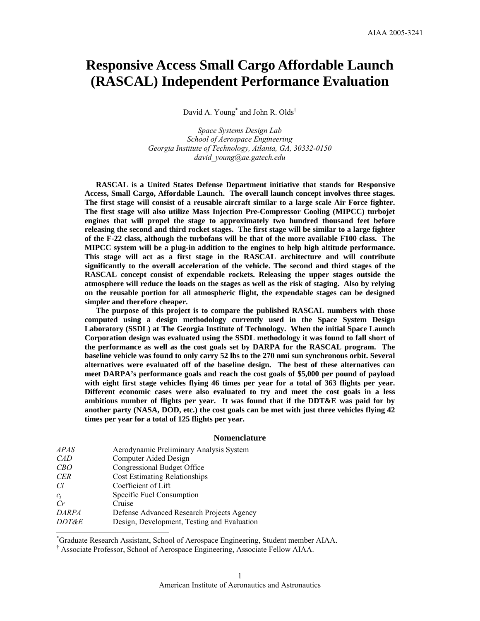# **Responsive Access Small Cargo Affordable Launch (RASCAL) Independent Performance Evaluation**

David A. Young<sup>\*</sup> and John R. Olds<sup>†</sup>

*Space Systems Design Lab School of Aerospace Engineering Georgia Institute of Technology, Atlanta, GA, 30332-0150 david\_young@ae.gatech.edu* 

**RASCAL is a United States Defense Department initiative that stands for Responsive Access, Small Cargo, Affordable Launch. The overall launch concept involves three stages. The first stage will consist of a reusable aircraft similar to a large scale Air Force fighter. The first stage will also utilize Mass Injection Pre-Compressor Cooling (MIPCC) turbojet engines that will propel the stage to approximately two hundred thousand feet before releasing the second and third rocket stages. The first stage will be similar to a large fighter of the F-22 class, although the turbofans will be that of the more available F100 class. The MIPCC system will be a plug-in addition to the engines to help high altitude performance. This stage will act as a first stage in the RASCAL architecture and will contribute significantly to the overall acceleration of the vehicle. The second and third stages of the RASCAL concept consist of expendable rockets. Releasing the upper stages outside the atmosphere will reduce the loads on the stages as well as the risk of staging. Also by relying on the reusable portion for all atmospheric flight, the expendable stages can be designed simpler and therefore cheaper.** 

**The purpose of this project is to compare the published RASCAL numbers with those computed using a design methodology currently used in the Space System Design Laboratory (SSDL) at The Georgia Institute of Technology. When the initial Space Launch Corporation design was evaluated using the SSDL methodology it was found to fall short of the performance as well as the cost goals set by DARPA for the RASCAL program. The baseline vehicle was found to only carry 52 lbs to the 270 nmi sun synchronous orbit. Several alternatives were evaluated off of the baseline design. The best of these alternatives can meet DARPA's performance goals and reach the cost goals of \$5,000 per pound of payload with eight first stage vehicles flying 46 times per year for a total of 363 flights per year. Different economic cases were also evaluated to try and meet the cost goals in a less ambitious number of flights per year. It was found that if the DDT&E was paid for by another party (NASA, DOD, etc.) the cost goals can be met with just three vehicles flying 42 times per year for a total of 125 flights per year.** 

#### **Nomenclature**

| <i>APAS</i>      | Aerodynamic Preliminary Analysis System     |
|------------------|---------------------------------------------|
| CAD              | Computer Aided Design                       |
| CBO              | Congressional Budget Office                 |
| <b>CER</b>       | <b>Cost Estimating Relationships</b>        |
| Cl               | Coefficient of Lift                         |
| $c_i$            | Specific Fuel Consumption                   |
| $\overline{C}r$  | Cruise                                      |
| <b>DARPA</b>     | Defense Advanced Research Projects Agency   |
| <i>DDT&amp;E</i> | Design, Development, Testing and Evaluation |
|                  |                                             |

\* Graduate Research Assistant, School of Aerospace Engineering, Student member AIAA.

† Associate Professor, School of Aerospace Engineering, Associate Fellow AIAA.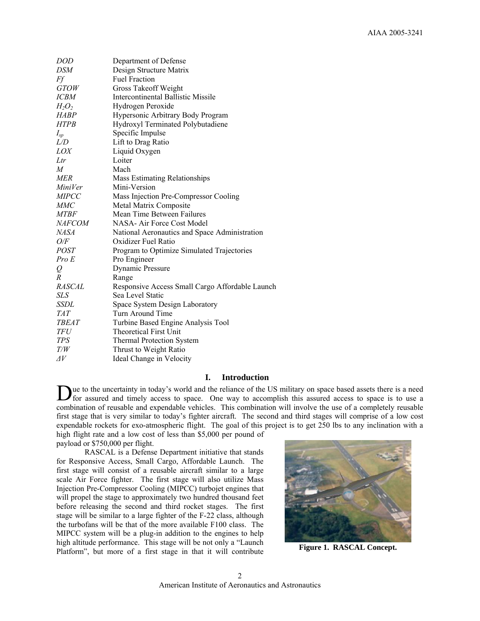| DOD           | Department of Defense                           |
|---------------|-------------------------------------------------|
| DSM           | Design Structure Matrix                         |
| Ff            | <b>Fuel Fraction</b>                            |
| <i>GTOW</i>   | Gross Takeoff Weight                            |
| <i>ICBM</i>   | <b>Intercontinental Ballistic Missile</b>       |
| $H_2O_2$      | Hydrogen Peroxide                               |
| HABP          | Hypersonic Arbitrary Body Program               |
| <b>HTPB</b>   | Hydroxyl Terminated Polybutadiene               |
| $I_{sp}$      | Specific Impulse                                |
| L/D           | Lift to Drag Ratio                              |
| LOX           | Liquid Oxygen                                   |
| Ltr           | Loiter                                          |
| M             | Mach                                            |
| <b>MER</b>    | Mass Estimating Relationships                   |
| MiniVer       | Mini-Version                                    |
| <b>MIPCC</b>  | Mass Injection Pre-Compressor Cooling           |
| <b>MMC</b>    | Metal Matrix Composite                          |
| <b>MTBF</b>   | Mean Time Between Failures                      |
| <i>NAFCOM</i> | NASA-Air Force Cost Model                       |
| <b>NASA</b>   | National Aeronautics and Space Administration   |
| O/F           | Oxidizer Fuel Ratio                             |
| <i>POST</i>   | Program to Optimize Simulated Trajectories      |
| Pro E         | Pro Engineer                                    |
| Q             | <b>Dynamic Pressure</b>                         |
| R             | Range                                           |
| RASCAL        | Responsive Access Small Cargo Affordable Launch |
| SLS           | Sea Level Static                                |
| SSDL          | Space System Design Laboratory                  |
| TAT           | Turn Around Time                                |
| TBEAT         | Turbine Based Engine Analysis Tool              |
| TFU           | <b>Theoretical First Unit</b>                   |
| <b>TPS</b>    | <b>Thermal Protection System</b>                |
| T/W           | Thrust to Weight Ratio                          |
| $\varDelta V$ | Ideal Change in Velocity                        |

# **I. Introduction**

ue to the uncertainty in today's world and the reliance of the US military on space based assets there is a need Due to the uncertainty in today's world and the reliance of the US military on space based assets there is a need for assured and timely access to space. One way to accomplish this assured access to space is to use a combination of reusable and expendable vehicles. This combination will involve the use of a completely reusable first stage that is very similar to today's fighter aircraft. The second and third stages will comprise of a low cost expendable rockets for exo-atmospheric flight. The goal of this project is to get 250 lbs to any inclination with a high flight rate and a low cost of less than \$5,000 per pound of payload or \$750,000 per flight.

RASCAL is a Defense Department initiative that stands for Responsive Access, Small Cargo, Affordable Launch. The first stage will consist of a reusable aircraft similar to a large scale Air Force fighter. The first stage will also utilize Mass Injection Pre-Compressor Cooling (MIPCC) turbojet engines that will propel the stage to approximately two hundred thousand feet before releasing the second and third rocket stages. The first stage will be similar to a large fighter of the F-22 class, although the turbofans will be that of the more available F100 class. The MIPCC system will be a plug-in addition to the engines to help high altitude performance. This stage will be not only a "Launch Platform", but more of a first stage in that it will contribute



**Figure 1. RASCAL Concept.**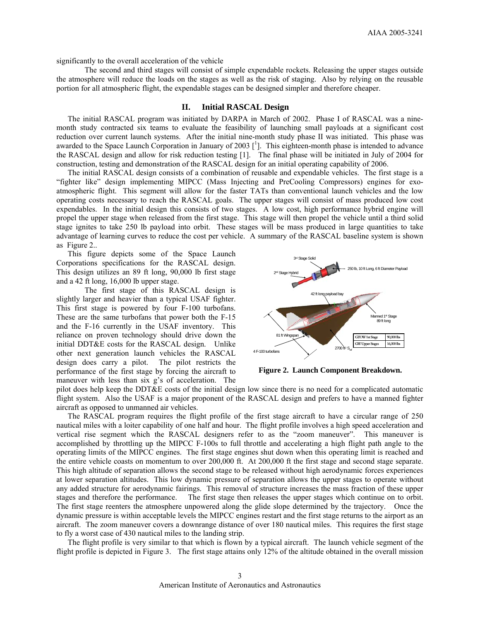significantly to the overall acceleration of the vehicle

The second and third stages will consist of simple expendable rockets. Releasing the upper stages outside the atmosphere will reduce the loads on the stages as well as the risk of staging. Also by relying on the reusable portion for all atmospheric flight, the expendable stages can be designed simpler and therefore cheaper.

# **II. Initial RASCAL Design**

The initial RASCAL program was initiated by DARPA in March of 2002. Phase I of RASCAL was a ninemonth study contracted six teams to evaluate the feasibility of launching small payloads at a significant cost reduction over current launch systems. After the initial nine-month study phase II was initiated. This phase was awarded to the Space Launch Corporation in January of 2003  $[$ <sup>1</sup>]. This eighteen-month phase is intended to advance the RASCAL design and allow for risk reduction testing [1]. The final phase will be initiated in July of 2004 for construction, testing and demonstration of the RASCAL design for an initial operating capability of 2006.

 The initial RASCAL design consists of a combination of reusable and expendable vehicles. The first stage is a "fighter like" design implementing MIPCC (Mass Injecting and PreCooling Compressors) engines for exoatmospheric flight. This segment will allow for the faster TATs than conventional launch vehicles and the low operating costs necessary to reach the RASCAL goals. The upper stages will consist of mass produced low cost expendables. In the initial design this consists of two stages. A low cost, high performance hybrid engine will propel the upper stage when released from the first stage. This stage will then propel the vehicle until a third solid stage ignites to take 250 lb payload into orbit. These stages will be mass produced in large quantities to take advantage of learning curves to reduce the cost per vehicle. A summary of the RASCAL baseline system is shown as Figure 2..

This figure depicts some of the Space Launch Corporations specifications for the RASCAL design. This design utilizes an 89 ft long, 90,000 lb first stage and a 42 ft long, 16,000 lb upper stage.

The first stage of this RASCAL design is slightly larger and heavier than a typical USAF fighter. This first stage is powered by four F-100 turbofans. These are the same turbofans that power both the F-15 and the F-16 currently in the USAF inventory. This reliance on proven technology should drive down the initial DDT&E costs for the RASCAL design. Unlike other next generation launch vehicles the RASCAL design does carry a pilot. The pilot restricts the performance of the first stage by forcing the aircraft to maneuver with less than six g's of acceleration. The



**Figure 2. Launch Component Breakdown.** 

pilot does help keep the DDT&E costs of the initial design low since there is no need for a complicated automatic flight system. Also the USAF is a major proponent of the RASCAL design and prefers to have a manned fighter aircraft as opposed to unmanned air vehicles.

The RASCAL program requires the flight profile of the first stage aircraft to have a circular range of 250 nautical miles with a loiter capability of one half and hour. The flight profile involves a high speed acceleration and vertical rise segment which the RASCAL designers refer to as the "zoom maneuver". This maneuver is accomplished by throttling up the MIPCC F-100s to full throttle and accelerating a high flight path angle to the operating limits of the MIPCC engines. The first stage engines shut down when this operating limit is reached and the entire vehicle coasts on momentum to over 200,000 ft. At 200,000 ft the first stage and second stage separate. This high altitude of separation allows the second stage to be released without high aerodynamic forces experiences at lower separation altitudes. This low dynamic pressure of separation allows the upper stages to operate without any added structure for aerodynamic fairings. This removal of structure increases the mass fraction of these upper stages and therefore the performance. The first stage then releases the upper stages which continue on to orbit. The first stage reenters the atmosphere unpowered along the glide slope determined by the trajectory. Once the dynamic pressure is within acceptable levels the MIPCC engines restart and the first stage returns to the airport as an aircraft. The zoom maneuver covers a downrange distance of over 180 nautical miles. This requires the first stage to fly a worst case of 430 nautical miles to the landing strip.

The flight profile is very similar to that which is flown by a typical aircraft. The launch vehicle segment of the flight profile is depicted in Figure 3. The first stage attains only 12% of the altitude obtained in the overall mission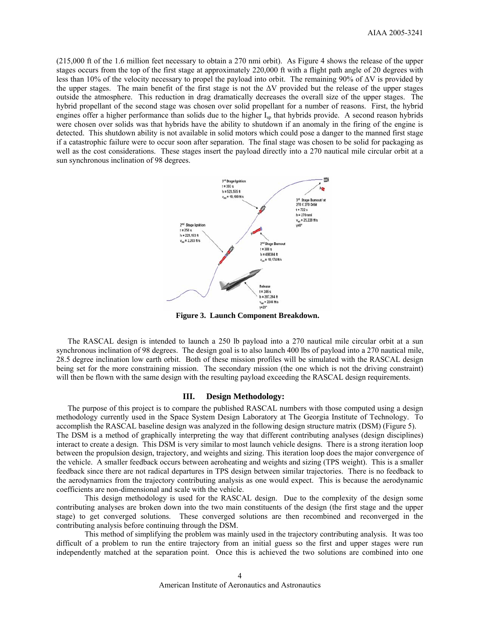(215,000 ft of the 1.6 million feet necessary to obtain a 270 nmi orbit). As Figure 4 shows the release of the upper stages occurs from the top of the first stage at approximately 220,000 ft with a flight path angle of 20 degrees with less than 10% of the velocity necessary to propel the payload into orbit. The remaining 90% of ∆V is provided by the upper stages. The main benefit of the first stage is not the ∆V provided but the release of the upper stages outside the atmosphere. This reduction in drag dramatically decreases the overall size of the upper stages. The hybrid propellant of the second stage was chosen over solid propellant for a number of reasons. First, the hybrid engines offer a higher performance than solids due to the higher  $I_{\rm{sp}}$  that hybrids provide. A second reason hybrids were chosen over solids was that hybrids have the ability to shutdown if an anomaly in the firing of the engine is detected. This shutdown ability is not available in solid motors which could pose a danger to the manned first stage if a catastrophic failure were to occur soon after separation. The final stage was chosen to be solid for packaging as well as the cost considerations. These stages insert the payload directly into a 270 nautical mile circular orbit at a sun synchronous inclination of 98 degrees.



**Figure 3. Launch Component Breakdown.** 

The RASCAL design is intended to launch a 250 lb payload into a 270 nautical mile circular orbit at a sun synchronous inclination of 98 degrees. The design goal is to also launch 400 lbs of payload into a 270 nautical mile, 28.5 degree inclination low earth orbit. Both of these mission profiles will be simulated with the RASCAL design being set for the more constraining mission. The secondary mission (the one which is not the driving constraint) will then be flown with the same design with the resulting payload exceeding the RASCAL design requirements.

## **III. Design Methodology:**

 The purpose of this project is to compare the published RASCAL numbers with those computed using a design methodology currently used in the Space System Design Laboratory at The Georgia Institute of Technology. To accomplish the RASCAL baseline design was analyzed in the following design structure matrix (DSM) (Figure 5). The DSM is a method of graphically interpreting the way that different contributing analyses (design disciplines) interact to create a design. This DSM is very similar to most launch vehicle designs. There is a strong iteration loop between the propulsion design, trajectory, and weights and sizing. This iteration loop does the major convergence of the vehicle. A smaller feedback occurs between aeroheating and weights and sizing (TPS weight). This is a smaller feedback since there are not radical departures in TPS design between similar trajectories. There is no feedback to the aerodynamics from the trajectory contributing analysis as one would expect. This is because the aerodynamic coefficients are non-dimensional and scale with the vehicle.

This design methodology is used for the RASCAL design. Due to the complexity of the design some contributing analyses are broken down into the two main constituents of the design (the first stage and the upper stage) to get converged solutions. These converged solutions are then recombined and reconverged in the contributing analysis before continuing through the DSM.

This method of simplifying the problem was mainly used in the trajectory contributing analysis. It was too difficult of a problem to run the entire trajectory from an initial guess so the first and upper stages were run independently matched at the separation point. Once this is achieved the two solutions are combined into one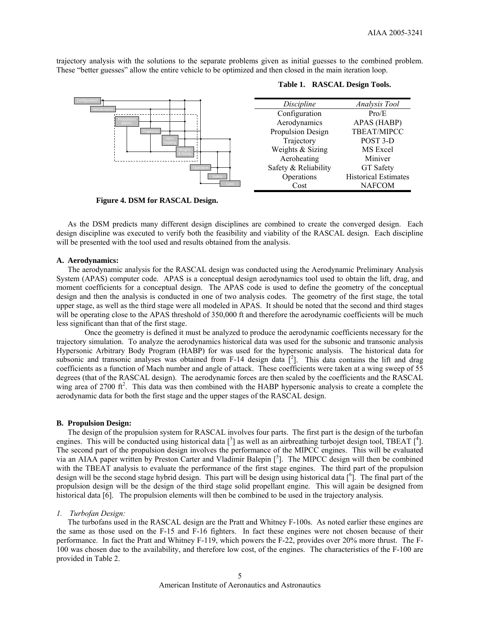trajectory analysis with the solutions to the separate problems given as initial guesses to the combined problem. These "better guesses" allow the entire vehicle to be optimized and then closed in the main iteration loop.



#### **Table 1. RASCAL Design Tools.**

**Figure 4. DSM for RASCAL Design.** 

 As the DSM predicts many different design disciplines are combined to create the converged design. Each design discipline was executed to verify both the feasibility and viability of the RASCAL design. Each discipline will be presented with the tool used and results obtained from the analysis.

#### **A. Aerodynamics:**

 The aerodynamic analysis for the RASCAL design was conducted using the Aerodynamic Preliminary Analysis System (APAS) computer code. APAS is a conceptual design aerodynamics tool used to obtain the lift, drag, and moment coefficients for a conceptual design. The APAS code is used to define the geometry of the conceptual design and then the analysis is conducted in one of two analysis codes. The geometry of the first stage, the total upper stage, as well as the third stage were all modeled in APAS. It should be noted that the second and third stages will be operating close to the APAS threshold of 350,000 ft and therefore the aerodynamic coefficients will be much less significant than that of the first stage.

Once the geometry is defined it must be analyzed to produce the aerodynamic coefficients necessary for the trajectory simulation. To analyze the aerodynamics historical data was used for the subsonic and transonic analysis Hypersonic Arbitrary Body Program (HABP) for was used for the hypersonic analysis. The historical data for subsonic and transonic analyses was obtained from F-14 design data  $[^2]$ . This data contains the lift and drag coefficients as a function of Mach number and angle of attack. These coefficients were taken at a wing sweep of 55 degrees (that of the RASCAL design). The aerodynamic forces are then scaled by the coefficients and the RASCAL wing area of 2700  $ft^2$ . This data was then combined with the HABP hypersonic analysis to create a complete the aerodynamic data for both the first stage and the upper stages of the RASCAL design.

## **B. Propulsion Design:**

 The design of the propulsion system for RASCAL involves four parts. The first part is the design of the turbofan engines. This will be conducted using historical data  $\left[ \begin{array}{c} 3 \end{array} \right]$  as well as an airbreathing turbojet design tool, TBEAT  $\left[ \begin{array}{c} 4 \end{array} \right]$ . The second part of the propulsion design involves the performance of the MIPCC engines. This will be evaluated via an AIAA paper written by Preston Carter and Vladimir Balepin [5]. The MIPCC design will then be combined with the TBEAT analysis to evaluate the performance of the first stage engines. The third part of the propulsion design will be the second stage hybrid design. This part will be design using historical data [<sup>6</sup>]. The final part of the propulsion design will be the design of the third stage solid propellant engine. This will again be designed from historical data [6]. The propulsion elements will then be combined to be used in the trajectory analysis.

#### *1. Turbofan Design:*

 The turbofans used in the RASCAL design are the Pratt and Whitney F-100s. As noted earlier these engines are the same as those used on the F-15 and F-16 fighters. In fact these engines were not chosen because of their performance. In fact the Pratt and Whitney F-119, which powers the F-22, provides over 20% more thrust. The F-100 was chosen due to the availability, and therefore low cost, of the engines. The characteristics of the F-100 are provided in Table 2.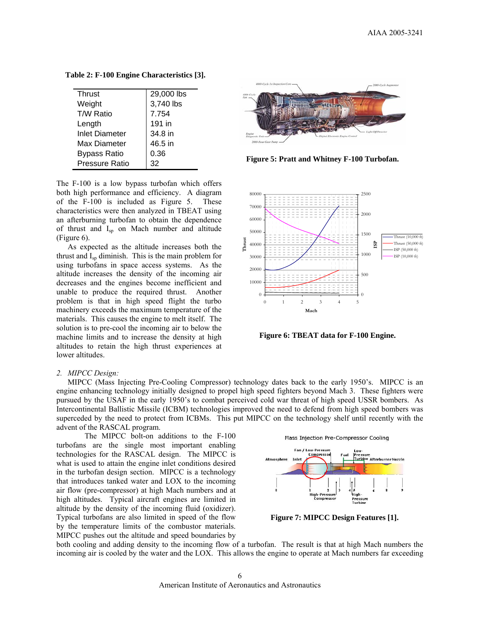| <b>Thrust</b>         | 29,000 lbs |
|-----------------------|------------|
| Weight                | 3,740 lbs  |
| T/W Ratio             | 7.754      |
| Length                | 191 in     |
| <b>Inlet Diameter</b> | 34.8 in    |
| Max Diameter          | 46.5 in    |
| <b>Bypass Ratio</b>   | 0.36       |
| <b>Pressure Ratio</b> | 32         |

**Table 2: F-100 Engine Characteristics [3].** 

The F-100 is a low bypass turbofan which offers both high performance and efficiency. A diagram of the F-100 is included as Figure 5. These characteristics were then analyzed in TBEAT using an afterburning turbofan to obtain the dependence of thrust and Isp on Mach number and altitude (Figure 6).

 As expected as the altitude increases both the thrust and  $I_{\rm SD}$  diminish. This is the main problem for using turbofans in space access systems. As the altitude increases the density of the incoming air decreases and the engines become inefficient and unable to produce the required thrust. Another problem is that in high speed flight the turbo machinery exceeds the maximum temperature of the materials. This causes the engine to melt itself. The solution is to pre-cool the incoming air to below the machine limits and to increase the density at high altitudes to retain the high thrust experiences at lower altitudes.



**Figure 5: Pratt and Whitney F-100 Turbofan.** 



**Figure 6: TBEAT data for F-100 Engine.** 

#### *2. MIPCC Design:*

 MIPCC (Mass Injecting Pre-Cooling Compressor) technology dates back to the early 1950's. MIPCC is an engine enhancing technology initially designed to propel high speed fighters beyond Mach 3. These fighters were pursued by the USAF in the early 1950's to combat perceived cold war threat of high speed USSR bombers. As Intercontinental Ballistic Missile (ICBM) technologies improved the need to defend from high speed bombers was superceded by the need to protect from ICBMs. This put MIPCC on the technology shelf until recently with the advent of the RASCAL program.

The MIPCC bolt-on additions to the F-100 turbofans are the single most important enabling technologies for the RASCAL design. The MIPCC is what is used to attain the engine inlet conditions desired in the turbofan design section. MIPCC is a technology that introduces tanked water and LOX to the incoming air flow (pre-compressor) at high Mach numbers and at high altitudes. Typical aircraft engines are limited in altitude by the density of the incoming fluid (oxidizer). Typical turbofans are also limited in speed of the flow by the temperature limits of the combustor materials. MIPCC pushes out the altitude and speed boundaries by



**Figure 7: MIPCC Design Features [1].** 

both cooling and adding density to the incoming flow of a turbofan. The result is that at high Mach numbers the incoming air is cooled by the water and the LOX. This allows the engine to operate at Mach numbers far exceeding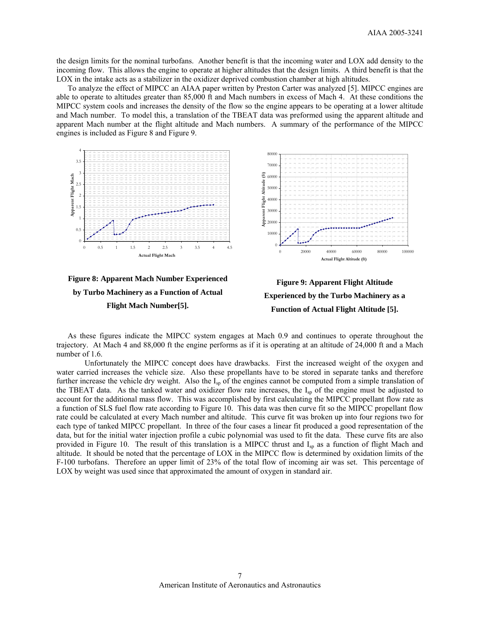the design limits for the nominal turbofans. Another benefit is that the incoming water and LOX add density to the incoming flow. This allows the engine to operate at higher altitudes that the design limits. A third benefit is that the LOX in the intake acts as a stabilizer in the oxidizer deprived combustion chamber at high altitudes.

 To analyze the effect of MIPCC an AIAA paper written by Preston Carter was analyzed [5]. MIPCC engines are able to operate to altitudes greater than 85,000 ft and Mach numbers in excess of Mach 4. At these conditions the MIPCC system cools and increases the density of the flow so the engine appears to be operating at a lower altitude and Mach number. To model this, a translation of the TBEAT data was preformed using the apparent altitude and apparent Mach number at the flight altitude and Mach numbers. A summary of the performance of the MIPCC engines is included as Figure 8 and Figure 9.







As these figures indicate the MIPCC system engages at Mach 0.9 and continues to operate throughout the trajectory. At Mach 4 and 88,000 ft the engine performs as if it is operating at an altitude of 24,000 ft and a Mach number of 1.6.

Unfortunately the MIPCC concept does have drawbacks. First the increased weight of the oxygen and water carried increases the vehicle size. Also these propellants have to be stored in separate tanks and therefore further increase the vehicle dry weight. Also the  $I_{\rm SD}$  of the engines cannot be computed from a simple translation of the TBEAT data. As the tanked water and oxidizer flow rate increases, the  $I_{\rm SD}$  of the engine must be adjusted to account for the additional mass flow. This was accomplished by first calculating the MIPCC propellant flow rate as a function of SLS fuel flow rate according to Figure 10. This data was then curve fit so the MIPCC propellant flow rate could be calculated at every Mach number and altitude. This curve fit was broken up into four regions two for each type of tanked MIPCC propellant. In three of the four cases a linear fit produced a good representation of the data, but for the initial water injection profile a cubic polynomial was used to fit the data. These curve fits are also provided in Figure 10. The result of this translation is a MIPCC thrust and  $I_{\rm{sp}}$  as a function of flight Mach and altitude. It should be noted that the percentage of LOX in the MIPCC flow is determined by oxidation limits of the F-100 turbofans. Therefore an upper limit of 23% of the total flow of incoming air was set. This percentage of LOX by weight was used since that approximated the amount of oxygen in standard air.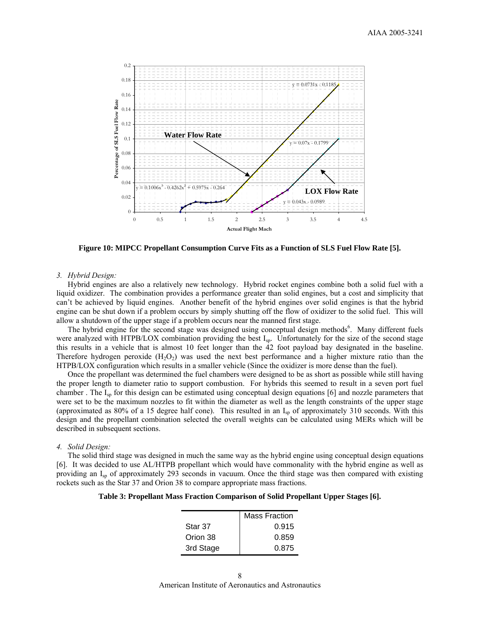

**Figure 10: MIPCC Propellant Consumption Curve Fits as a Function of SLS Fuel Flow Rate [5].** 

#### *3. Hybrid Design:*

 Hybrid engines are also a relatively new technology. Hybrid rocket engines combine both a solid fuel with a liquid oxidizer. The combination provides a performance greater than solid engines, but a cost and simplicity that can't be achieved by liquid engines. Another benefit of the hybrid engines over solid engines is that the hybrid engine can be shut down if a problem occurs by simply shutting off the flow of oxidizer to the solid fuel. This will allow a shutdown of the upper stage if a problem occurs near the manned first stage.

The hybrid engine for the second stage was designed using conceptual design methods<sup>6</sup>. Many different fuels were analyzed with HTPB/LOX combination providing the best I<sub>sp</sub>. Unfortunately for the size of the second stage this results in a vehicle that is almost 10 feet longer than the 42 foot payload bay designated in the baseline. Therefore hydrogen peroxide  $(H_2O_2)$  was used the next best performance and a higher mixture ratio than the HTPB/LOX configuration which results in a smaller vehicle (Since the oxidizer is more dense than the fuel).

 Once the propellant was determined the fuel chambers were designed to be as short as possible while still having the proper length to diameter ratio to support combustion. For hybrids this seemed to result in a seven port fuel chamber . The  $I_{sp}$  for this design can be estimated using conceptual design equations [6] and nozzle parameters that were set to be the maximum nozzles to fit within the diameter as well as the length constraints of the upper stage (approximated as 80% of a 15 degree half cone). This resulted in an Isp of approximately 310 seconds. With this design and the propellant combination selected the overall weights can be calculated using MERs which will be described in subsequent sections.

#### *4. Solid Design:*

The solid third stage was designed in much the same way as the hybrid engine using conceptual design equations [6]. It was decided to use AL/HTPB propellant which would have commonality with the hybrid engine as well as providing an Isp of approximately 293 seconds in vacuum. Once the third stage was then compared with existing rockets such as the Star 37 and Orion 38 to compare appropriate mass fractions.

| Table 3: Propellant Mass Fraction Comparison of Solid Propellant Upper Stages [6]. |
|------------------------------------------------------------------------------------|
|------------------------------------------------------------------------------------|

|           | <b>Mass Fraction</b> |
|-----------|----------------------|
| Star 37   | 0.915                |
| Orion 38  | 0.859                |
| 3rd Stage | 0.875                |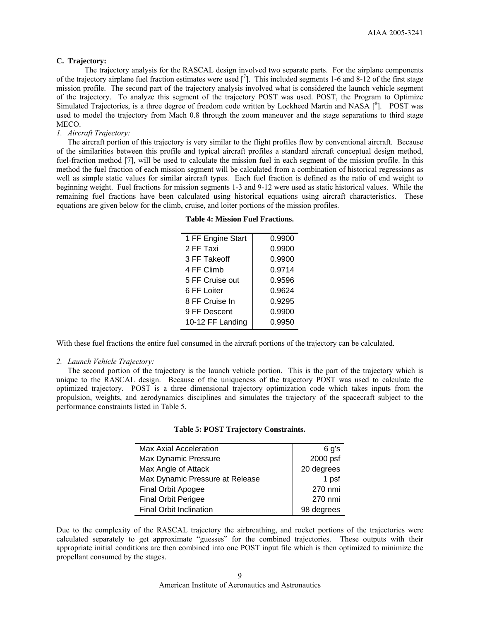# **C. Trajectory:**

The trajectory analysis for the RASCAL design involved two separate parts. For the airplane components of the trajectory airplane fuel fraction estimates were used  $\lceil \frac{7}{1} \rceil$ . This included segments 1-6 and 8-12 of the first stage mission profile. The second part of the trajectory analysis involved what is considered the launch vehicle segment of the trajectory. To analyze this segment of the trajectory POST was used. POST, the Program to Optimize Simulated Trajectories, is a three degree of freedom code written by Lockheed Martin and NASA  $\int_{a}^{8}$ ]. POST was used to model the trajectory from Mach 0.8 through the zoom maneuver and the stage separations to third stage MECO.

# *1. Aircraft Trajectory:*

 The aircraft portion of this trajectory is very similar to the flight profiles flow by conventional aircraft. Because of the similarities between this profile and typical aircraft profiles a standard aircraft conceptual design method, fuel-fraction method [7], will be used to calculate the mission fuel in each segment of the mission profile. In this method the fuel fraction of each mission segment will be calculated from a combination of historical regressions as well as simple static values for similar aircraft types. Each fuel fraction is defined as the ratio of end weight to beginning weight. Fuel fractions for mission segments 1-3 and 9-12 were used as static historical values. While the remaining fuel fractions have been calculated using historical equations using aircraft characteristics. These equations are given below for the climb, cruise, and loiter portions of the mission profiles.

| 1 FF Engine Start | 0.9900 |
|-------------------|--------|
| 2 FF Taxi         | 0.9900 |
| 3 FF Takeoff      | 0.9900 |
| 4 FF Climb        | 0.9714 |
| 5 FF Cruise out   | 0.9596 |
| 6 FF Loiter       | 0.9624 |
| 8 FF Cruise In    | 0.9295 |
| 9 FF Descent      | 0.9900 |
| 10-12 FF Landing  | 0.9950 |

**Table 4: Mission Fuel Fractions.** 

With these fuel fractions the entire fuel consumed in the aircraft portions of the trajectory can be calculated.

## *2. Launch Vehicle Trajectory:*

 The second portion of the trajectory is the launch vehicle portion. This is the part of the trajectory which is unique to the RASCAL design. Because of the uniqueness of the trajectory POST was used to calculate the optimized trajectory. POST is a three dimensional trajectory optimization code which takes inputs from the propulsion, weights, and aerodynamics disciplines and simulates the trajectory of the spacecraft subject to the performance constraints listed in Table 5.

| <b>Max Axial Acceleration</b>   | 6 g's      |
|---------------------------------|------------|
| Max Dynamic Pressure            | 2000 psf   |
| Max Angle of Attack             | 20 degrees |
| Max Dynamic Pressure at Release | 1 psf      |
| <b>Final Orbit Apogee</b>       | 270 nmi    |
| <b>Final Orbit Perigee</b>      | 270 nmi    |
| <b>Final Orbit Inclination</b>  | 98 degrees |

Due to the complexity of the RASCAL trajectory the airbreathing, and rocket portions of the trajectories were calculated separately to get approximate "guesses" for the combined trajectories. These outputs with their appropriate initial conditions are then combined into one POST input file which is then optimized to minimize the propellant consumed by the stages.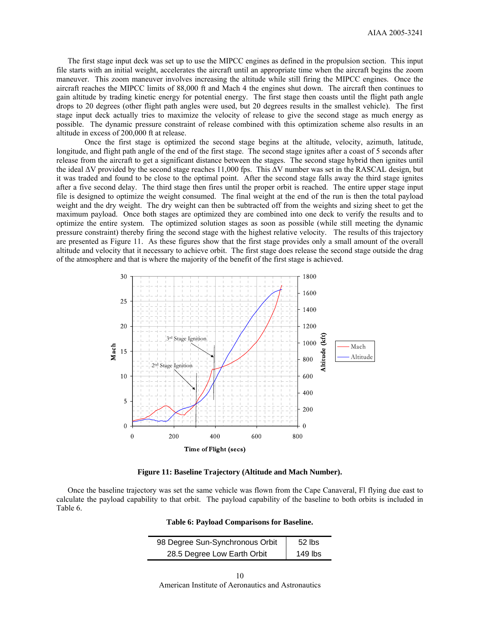The first stage input deck was set up to use the MIPCC engines as defined in the propulsion section. This input file starts with an initial weight, accelerates the aircraft until an appropriate time when the aircraft begins the zoom maneuver. This zoom maneuver involves increasing the altitude while still firing the MIPCC engines. Once the aircraft reaches the MIPCC limits of 88,000 ft and Mach 4 the engines shut down. The aircraft then continues to gain altitude by trading kinetic energy for potential energy. The first stage then coasts until the flight path angle drops to 20 degrees (other flight path angles were used, but 20 degrees results in the smallest vehicle). The first stage input deck actually tries to maximize the velocity of release to give the second stage as much energy as possible. The dynamic pressure constraint of release combined with this optimization scheme also results in an altitude in excess of 200,000 ft at release.

Once the first stage is optimized the second stage begins at the altitude, velocity, azimuth, latitude, longitude, and flight path angle of the end of the first stage. The second stage ignites after a coast of 5 seconds after release from the aircraft to get a significant distance between the stages. The second stage hybrid then ignites until the ideal ΔV provided by the second stage reaches 11,000 fps. This ΔV number was set in the RASCAL design, but it was traded and found to be close to the optimal point. After the second stage falls away the third stage ignites after a five second delay. The third stage then fires until the proper orbit is reached. The entire upper stage input file is designed to optimize the weight consumed. The final weight at the end of the run is then the total payload weight and the dry weight. The dry weight can then be subtracted off from the weights and sizing sheet to get the maximum payload. Once both stages are optimized they are combined into one deck to verify the results and to optimize the entire system. The optimized solution stages as soon as possible (while still meeting the dynamic pressure constraint) thereby firing the second stage with the highest relative velocity. The results of this trajectory are presented as Figure 11. As these figures show that the first stage provides only a small amount of the overall altitude and velocity that it necessary to achieve orbit. The first stage does release the second stage outside the drag of the atmosphere and that is where the majority of the benefit of the first stage is achieved.



**Figure 11: Baseline Trajectory (Altitude and Mach Number).** 

 Once the baseline trajectory was set the same vehicle was flown from the Cape Canaveral, Fl flying due east to calculate the payload capability to that orbit. The payload capability of the baseline to both orbits is included in Table 6.

| Table 6: Payload Comparisons for Baseline. |  |  |
|--------------------------------------------|--|--|
|--------------------------------------------|--|--|

| 98 Degree Sun-Synchronous Orbit | $52$ lbs  |
|---------------------------------|-----------|
| 28.5 Degree Low Earth Orbit     | $149$ lbs |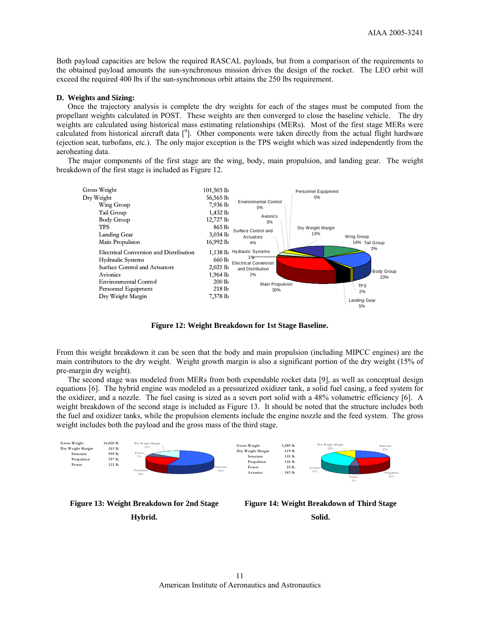Both payload capacities are below the required RASCAL payloads, but from a comparison of the requirements to the obtained payload amounts the sun-synchronous mission drives the design of the rocket. The LEO orbit will exceed the required 400 lbs if the sun-synchronous orbit attains the 250 lbs requirement.

#### **D. Weights and Sizing:**

 Once the trajectory analysis is complete the dry weights for each of the stages must be computed from the propellant weights calculated in POST. These weights are then converged to close the baseline vehicle. The dry weights are calculated using historical mass estimating relationships (MERs). Most of the first stage MERs were calculated from historical aircraft data  $[$ <sup>9</sup>]. Other components were taken directly from the actual flight hardware (ejection seat, turbofans, etc.). The only major exception is the TPS weight which was sized independently from the aeroheating data.

 The major components of the first stage are the wing, body, main propulsion, and landing gear. The weight breakdown of the first stage is included as Figure 12.



**Figure 12: Weight Breakdown for 1st Stage Baseline.** 

From this weight breakdown it can be seen that the body and main propulsion (including MIPCC engines) are the main contributors to the dry weight. Weight growth margin is also a significant portion of the dry weight (15% of pre-margin dry weight).

 The second stage was modeled from MERs from both expendable rocket data [9], as well as conceptual design equations [6]. The hybrid engine was modeled as a pressurized oxidizer tank, a solid fuel casing, a feed system for the oxidizer, and a nozzle. The fuel casing is sized as a seven port solid with a 48% volumetric efficiency [6]. A weight breakdown of the second stage is included as Figure 13. It should be noted that the structure includes both the fuel and oxidizer tanks, while the propulsion elements include the engine nozzle and the feed system. The gross weight includes both the payload and the gross mass of the third stage.





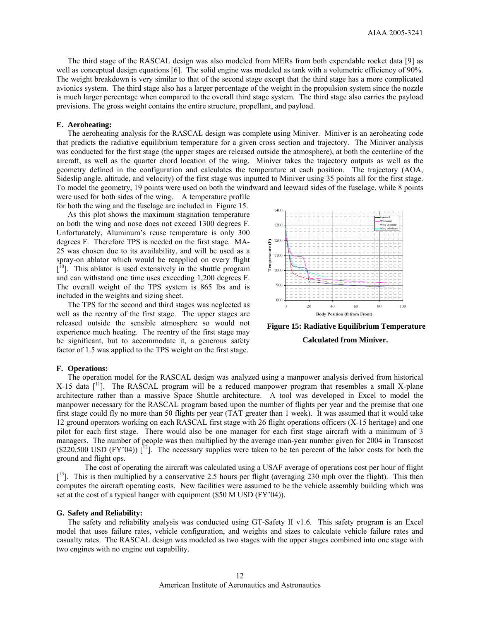The third stage of the RASCAL design was also modeled from MERs from both expendable rocket data [9] as well as conceptual design equations [6]. The solid engine was modeled as tank with a volumetric efficiency of 90%. The weight breakdown is very similar to that of the second stage except that the third stage has a more complicated avionics system. The third stage also has a larger percentage of the weight in the propulsion system since the nozzle is much larger percentage when compared to the overall third stage system. The third stage also carries the payload previsions. The gross weight contains the entire structure, propellant, and payload.

# **E. Aeroheating:**

 The aeroheating analysis for the RASCAL design was complete using Miniver. Miniver is an aeroheating code that predicts the radiative equilibrium temperature for a given cross section and trajectory. The Miniver analysis was conducted for the first stage (the upper stages are released outside the atmosphere), at both the centerline of the aircraft, as well as the quarter chord location of the wing. Miniver takes the trajectory outputs as well as the geometry defined in the configuration and calculates the temperature at each position. The trajectory (AOA, Sideslip angle, altitude, and velocity) of the first stage was inputted to Miniver using 35 points all for the first stage. To model the geometry, 19 points were used on both the windward and leeward sides of the fuselage, while 8 points

were used for both sides of the wing. A temperature profile for both the wing and the fuselage are included in Figure 15. As this plot shows the maximum stagnation temperature

on both the wing and nose does not exceed 1300 degrees F. Unfortunately, Aluminum's reuse temperature is only 300 degrees F. Therefore TPS is needed on the first stage. MA-25 was chosen due to its availability, and will be used as a spray-on ablator which would be reapplied on every flight  $[$ <sup>[10</sup>]. This ablator is used extensively in the shuttle program and can withstand one time uses exceeding 1,200 degrees F. The overall weight of the TPS system is 865 lbs and is included in the weights and sizing sheet.

 The TPS for the second and third stages was neglected as well as the reentry of the first stage. The upper stages are released outside the sensible atmosphere so would not experience much heating. The reentry of the first stage may be significant, but to accommodate it, a generous safety factor of 1.5 was applied to the TPS weight on the first stage.



 **Figure 15: Radiative Equilibrium Temperature Calculated from Miniver.** 

#### **F. Operations:**

 The operation model for the RASCAL design was analyzed using a manpower analysis derived from historical X-15 data  $\lceil$ <sup>11</sup>]. The RASCAL program will be a reduced manpower program that resembles a small X-plane architecture rather than a massive Space Shuttle architecture. A tool was developed in Excel to model the manpower necessary for the RASCAL program based upon the number of flights per year and the premise that one first stage could fly no more than 50 flights per year (TAT greater than 1 week). It was assumed that it would take 12 ground operators working on each RASCAL first stage with 26 flight operations officers (X-15 heritage) and one pilot for each first stage. There would also be one manager for each first stage aircraft with a minimum of 3 managers. The number of people was then multiplied by the average man-year number given for 2004 in Transcost  $(S220,500 \text{ USD (FY'}04))$  [<sup>12</sup>]. The necessary supplies were taken to be ten percent of the labor costs for both the ground and flight ops.

The cost of operating the aircraft was calculated using a USAF average of operations cost per hour of flight  $[13]$ . This is then multiplied by a conservative 2.5 hours per flight (averaging 230 mph over the flight). This then computes the aircraft operating costs. New facilities were assumed to be the vehicle assembly building which was set at the cost of a typical hanger with equipment (\$50 M USD (FY'04)).

#### **G. Safety and Reliability:**

 The safety and reliability analysis was conducted using GT-Safety II v1.6. This safety program is an Excel model that uses failure rates, vehicle configuration, and weights and sizes to calculate vehicle failure rates and casualty rates. The RASCAL design was modeled as two stages with the upper stages combined into one stage with two engines with no engine out capability.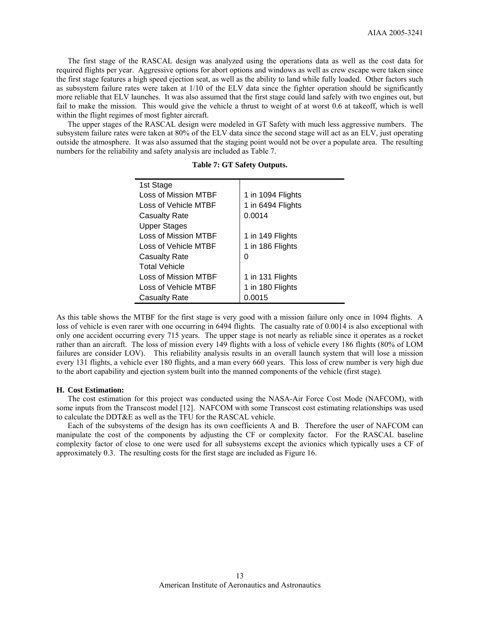The first stage of the RASCAL design was analyzed using the operations data as well as the cost data for required flights per year. Aggressive options for abort options and windows as well as crew escape were taken since the first stage features a high speed ejection seat, as well as the ability to land while fully loaded. Other factors such as subsystem failure rates were taken at 1/10 of the ELV data since the fighter operation should be significantly more reliable that ELV launches. It was also assumed that the first stage could land safely with two engines out, but fail to make the mission. This would give the vehicle a thrust to weight of at worst 0.6 at takeoff, which is well within the flight regimes of most fighter aircraft.

 The upper stages of the RASCAL design were modeled in GT Safety with much less aggressive numbers. The subsystem failure rates were taken at 80% of the ELV data since the second stage will act as an ELV, just operating outside the atmosphere. It was also assumed that the staging point would not be over a populate area. The resulting numbers for the reliability and safety analysis are included as Table 7.

| 1st Stage            |                   |
|----------------------|-------------------|
| Loss of Mission MTBF | 1 in 1094 Flights |
| Loss of Vehicle MTBF | 1 in 6494 Flights |
| <b>Casualty Rate</b> | 0.0014            |
| <b>Upper Stages</b>  |                   |
| Loss of Mission MTBF | 1 in 149 Flights  |
| Loss of Vehicle MTBF | 1 in 186 Flights  |
| <b>Casualty Rate</b> | 0                 |
| <b>Total Vehicle</b> |                   |
| Loss of Mission MTBF | 1 in 131 Flights  |
| Loss of Vehicle MTBF | 1 in 180 Flights  |
| <b>Casualty Rate</b> | 0.0015            |
|                      |                   |

**Table 7: GT Safety Outputs.** 

As this table shows the MTBF for the first stage is very good with a mission failure only once in 1094 flights. A loss of vehicle is even rarer with one occurring in 6494 flights. The casualty rate of 0.0014 is also exceptional with only one accident occurring every 715 years. The upper stage is not nearly as reliable since it operates as a rocket rather than an aircraft. The loss of mission every 149 flights with a loss of vehicle every 186 flights (80% of LOM failures are consider LOV). This reliability analysis results in an overall launch system that will lose a mission every 131 flights, a vehicle ever 180 flights, and a man every 660 years. This loss of crew number is very high due to the abort capability and ejection system built into the manned components of the vehicle (first stage).

### **H. Cost Estimation:**

 The cost estimation for this project was conducted using the NASA-Air Force Cost Mode (NAFCOM), with some inputs from the Transcost model [12]. NAFCOM with some Transcost cost estimating relationships was used to calculate the DDT&E as well as the TFU for the RASCAL vehicle.

Each of the subsystems of the design has its own coefficients A and B. Therefore the user of NAFCOM can manipulate the cost of the components by adjusting the CF or complexity factor. For the RASCAL baseline complexity factor of close to one were used for all subsystems except the avionics which typically uses a CF of approximately 0.3. The resulting costs for the first stage are included as Figure 16.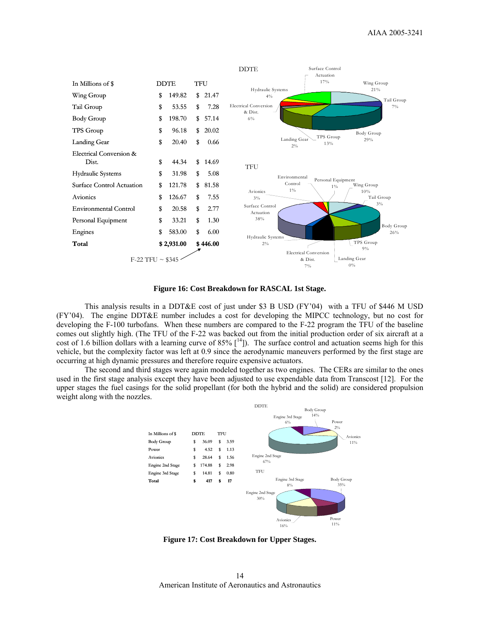

**Figure 16: Cost Breakdown for RASCAL 1st Stage.** 

This analysis results in a DDT&E cost of just under \$3 B USD (FY'04) with a TFU of \$446 M USD (FY'04). The engine DDT&E number includes a cost for developing the MIPCC technology, but no cost for developing the F-100 turbofans. When these numbers are compared to the F-22 program the TFU of the baseline comes out slightly high. (The TFU of the F-22 was backed out from the initial production order of six aircraft at a cost of 1.6 billion dollars with a learning curve of 85%  $[14]$ ). The surface control and actuation seems high for this vehicle, but the complexity factor was left at 0.9 since the aerodynamic maneuvers performed by the first stage are occurring at high dynamic pressures and therefore require expensive actuators.

The second and third stages were again modeled together as two engines. The CERs are similar to the ones used in the first stage analysis except they have been adjusted to use expendable data from Transcost [12]. For the upper stages the fuel casings for the solid propellant (for both the hybrid and the solid) are considered propulsion weight along with the nozzles.



**Figure 17: Cost Breakdown for Upper Stages.**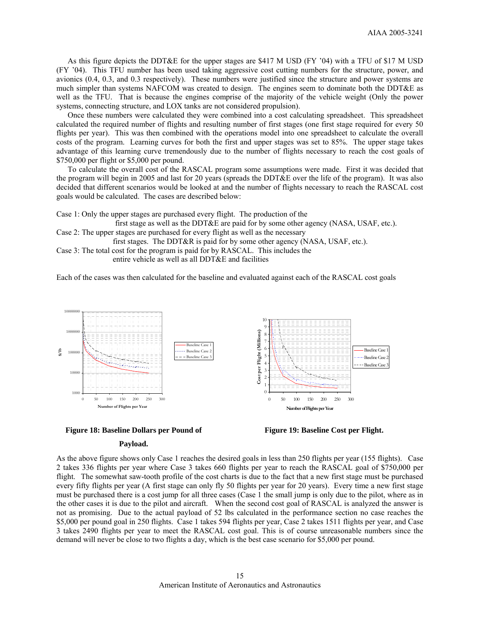As this figure depicts the DDT&E for the upper stages are \$417 M USD (FY '04) with a TFU of \$17 M USD (FY '04). This TFU number has been used taking aggressive cost cutting numbers for the structure, power, and avionics (0.4, 0.3, and 0.3 respectively). These numbers were justified since the structure and power systems are much simpler than systems NAFCOM was created to design. The engines seem to dominate both the DDT&E as well as the TFU. That is because the engines comprise of the majority of the vehicle weight (Only the power systems, connecting structure, and LOX tanks are not considered propulsion).

 Once these numbers were calculated they were combined into a cost calculating spreadsheet. This spreadsheet calculated the required number of flights and resulting number of first stages (one first stage required for every 50 flights per year). This was then combined with the operations model into one spreadsheet to calculate the overall costs of the program. Learning curves for both the first and upper stages was set to 85%. The upper stage takes advantage of this learning curve tremendously due to the number of flights necessary to reach the cost goals of \$750,000 per flight or \$5,000 per pound.

 To calculate the overall cost of the RASCAL program some assumptions were made. First it was decided that the program will begin in 2005 and last for 20 years (spreads the DDT&E over the life of the program). It was also decided that different scenarios would be looked at and the number of flights necessary to reach the RASCAL cost goals would be calculated. The cases are described below:

Case 1: Only the upper stages are purchased every flight. The production of the

first stage as well as the DDT&E are paid for by some other agency (NASA, USAF, etc.). Case 2: The upper stages are purchased for every flight as well as the necessary

first stages. The DDT&R is paid for by some other agency (NASA, USAF, etc.).

Case 3: The total cost for the program is paid for by RASCAL. This includes the

entire vehicle as well as all DDT&E and facilities

Each of the cases was then calculated for the baseline and evaluated against each of the RASCAL cost goals





#### **Payload.**



As the above figure shows only Case 1 reaches the desired goals in less than 250 flights per year (155 flights). Case 2 takes 336 flights per year where Case 3 takes 660 flights per year to reach the RASCAL goal of \$750,000 per flight. The somewhat saw-tooth profile of the cost charts is due to the fact that a new first stage must be purchased every fifty flights per year (A first stage can only fly 50 flights per year for 20 years). Every time a new first stage must be purchased there is a cost jump for all three cases (Case 1 the small jump is only due to the pilot, where as in the other cases it is due to the pilot and aircraft. When the second cost goal of RASCAL is analyzed the answer is not as promising. Due to the actual payload of 52 lbs calculated in the performance section no case reaches the \$5,000 per pound goal in 250 flights. Case 1 takes 594 flights per year, Case 2 takes 1511 flights per year, and Case 3 takes 2490 flights per year to meet the RASCAL cost goal. This is of course unreasonable numbers since the demand will never be close to two flights a day, which is the best case scenario for \$5,000 per pound.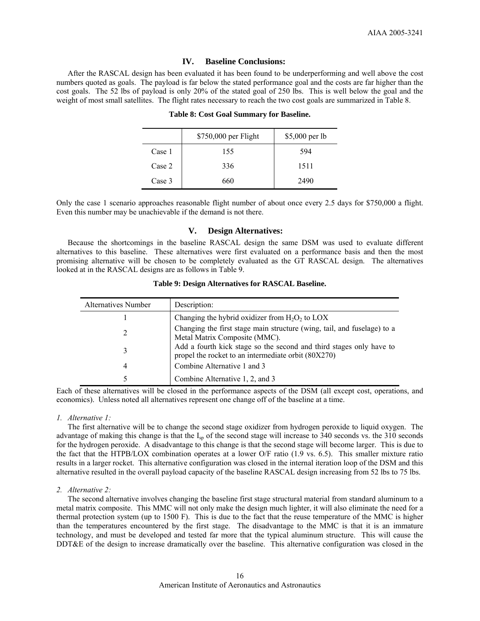# **IV. Baseline Conclusions:**

 After the RASCAL design has been evaluated it has been found to be underperforming and well above the cost numbers quoted as goals. The payload is far below the stated performance goal and the costs are far higher than the cost goals. The 52 lbs of payload is only 20% of the stated goal of 250 lbs. This is well below the goal and the weight of most small satellites. The flight rates necessary to reach the two cost goals are summarized in Table 8.

|        | \$750,000 per Flight | \$5,000 per lb |
|--------|----------------------|----------------|
| Case 1 | 155                  | 594            |
| Case 2 | 336                  | 1511           |
| Case 3 | 660                  | 2490           |

## **Table 8: Cost Goal Summary for Baseline.**

Only the case 1 scenario approaches reasonable flight number of about once every 2.5 days for \$750,000 a flight. Even this number may be unachievable if the demand is not there.

### **V. Design Alternatives:**

 Because the shortcomings in the baseline RASCAL design the same DSM was used to evaluate different alternatives to this baseline. These alternatives were first evaluated on a performance basis and then the most promising alternative will be chosen to be completely evaluated as the GT RASCAL design. The alternatives looked at in the RASCAL designs are as follows in Table 9.

| <b>Alternatives Number</b> | Description:                                                                                                               |
|----------------------------|----------------------------------------------------------------------------------------------------------------------------|
|                            | Changing the hybrid oxidizer from $H_2O_2$ to LOX                                                                          |
| 2                          | Changing the first stage main structure (wing, tail, and fuselage) to a<br>Metal Matrix Composite (MMC).                   |
| 3                          | Add a fourth kick stage so the second and third stages only have to<br>propel the rocket to an intermediate orbit (80X270) |
| 4                          | Combine Alternative 1 and 3                                                                                                |
| 5                          | Combine Alternative 1, 2, and 3                                                                                            |

## **Table 9: Design Alternatives for RASCAL Baseline.**

Each of these alternatives will be closed in the performance aspects of the DSM (all except cost, operations, and economics). Unless noted all alternatives represent one change off of the baseline at a time.

## *1. Alternative 1:*

 The first alternative will be to change the second stage oxidizer from hydrogen peroxide to liquid oxygen. The advantage of making this change is that the  $I_{sp}$  of the second stage will increase to 340 seconds vs. the 310 seconds for the hydrogen peroxide. A disadvantage to this change is that the second stage will become larger. This is due to the fact that the HTPB/LOX combination operates at a lower O/F ratio (1.9 vs. 6.5). This smaller mixture ratio results in a larger rocket. This alternative configuration was closed in the internal iteration loop of the DSM and this alternative resulted in the overall payload capacity of the baseline RASCAL design increasing from 52 lbs to 75 lbs.

## *2. Alternative 2:*

 The second alternative involves changing the baseline first stage structural material from standard aluminum to a metal matrix composite. This MMC will not only make the design much lighter, it will also eliminate the need for a thermal protection system (up to 1500 F). This is due to the fact that the reuse temperature of the MMC is higher than the temperatures encountered by the first stage. The disadvantage to the MMC is that it is an immature technology, and must be developed and tested far more that the typical aluminum structure. This will cause the DDT&E of the design to increase dramatically over the baseline. This alternative configuration was closed in the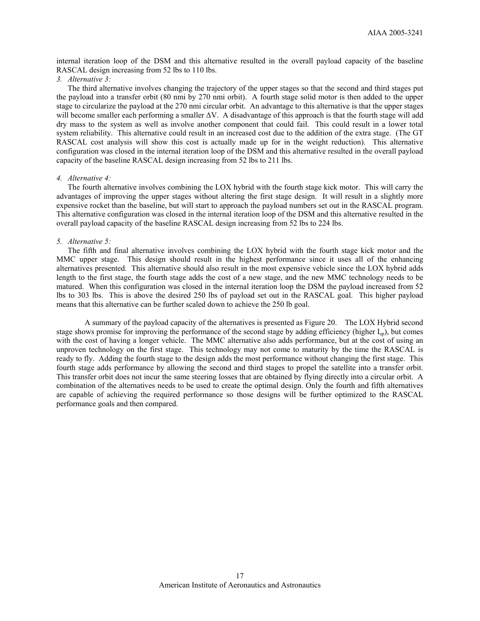internal iteration loop of the DSM and this alternative resulted in the overall payload capacity of the baseline RASCAL design increasing from 52 lbs to 110 lbs.

# *3. Alternative 3:*

 The third alternative involves changing the trajectory of the upper stages so that the second and third stages put the payload into a transfer orbit (80 nmi by 270 nmi orbit). A fourth stage solid motor is then added to the upper stage to circularize the payload at the 270 nmi circular orbit. An advantage to this alternative is that the upper stages will become smaller each performing a smaller ∆V. A disadvantage of this approach is that the fourth stage will add dry mass to the system as well as involve another component that could fail. This could result in a lower total system reliability. This alternative could result in an increased cost due to the addition of the extra stage. (The GT RASCAL cost analysis will show this cost is actually made up for in the weight reduction). This alternative configuration was closed in the internal iteration loop of the DSM and this alternative resulted in the overall payload capacity of the baseline RASCAL design increasing from 52 lbs to 211 lbs.

#### *4. Alternative 4:*

 The fourth alternative involves combining the LOX hybrid with the fourth stage kick motor. This will carry the advantages of improving the upper stages without altering the first stage design. It will result in a slightly more expensive rocket than the baseline, but will start to approach the payload numbers set out in the RASCAL program. This alternative configuration was closed in the internal iteration loop of the DSM and this alternative resulted in the overall payload capacity of the baseline RASCAL design increasing from 52 lbs to 224 lbs.

## *5. Alternative 5:*

 The fifth and final alternative involves combining the LOX hybrid with the fourth stage kick motor and the MMC upper stage. This design should result in the highest performance since it uses all of the enhancing alternatives presented. This alternative should also result in the most expensive vehicle since the LOX hybrid adds length to the first stage, the fourth stage adds the cost of a new stage, and the new MMC technology needs to be matured. When this configuration was closed in the internal iteration loop the DSM the payload increased from 52 lbs to 303 lbs. This is above the desired 250 lbs of payload set out in the RASCAL goal. This higher payload means that this alternative can be further scaled down to achieve the 250 lb goal.

A summary of the payload capacity of the alternatives is presented as Figure 20. The LOX Hybrid second stage shows promise for improving the performance of the second stage by adding efficiency (higher  $I_{\rm sb}$ ), but comes with the cost of having a longer vehicle. The MMC alternative also adds performance, but at the cost of using an unproven technology on the first stage. This technology may not come to maturity by the time the RASCAL is ready to fly. Adding the fourth stage to the design adds the most performance without changing the first stage. This fourth stage adds performance by allowing the second and third stages to propel the satellite into a transfer orbit. This transfer orbit does not incur the same steering losses that are obtained by flying directly into a circular orbit. A combination of the alternatives needs to be used to create the optimal design. Only the fourth and fifth alternatives are capable of achieving the required performance so those designs will be further optimized to the RASCAL performance goals and then compared.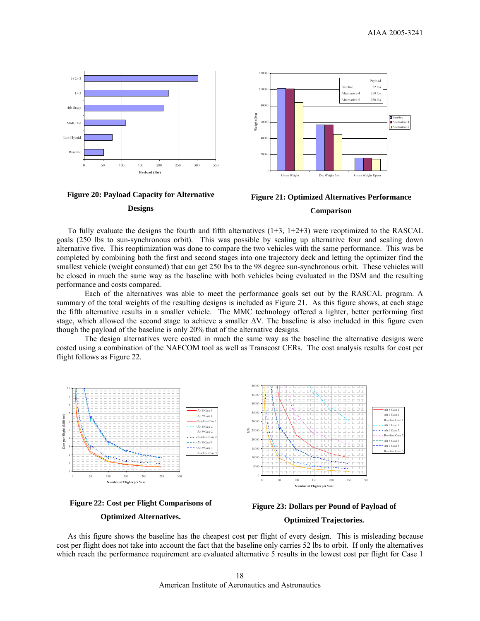







To fully evaluate the designs the fourth and fifth alternatives  $(1+3, 1+2+3)$  were reoptimized to the RASCAL goals (250 lbs to sun-synchronous orbit). This was possible by scaling up alternative four and scaling down alternative five. This reoptimization was done to compare the two vehicles with the same performance. This was be completed by combining both the first and second stages into one trajectory deck and letting the optimizer find the smallest vehicle (weight consumed) that can get 250 lbs to the 98 degree sun-synchronous orbit. These vehicles will be closed in much the same way as the baseline with both vehicles being evaluated in the DSM and the resulting performance and costs compared.

Each of the alternatives was able to meet the performance goals set out by the RASCAL program. A summary of the total weights of the resulting designs is included as Figure 21. As this figure shows, at each stage the fifth alternative results in a smaller vehicle. The MMC technology offered a lighter, better performing first stage, which allowed the second stage to achieve a smaller ΔV. The baseline is also included in this figure even though the payload of the baseline is only 20% that of the alternative designs.

The design alternatives were costed in much the same way as the baseline the alternative designs were costed using a combination of the NAFCOM tool as well as Transcost CERs. The cost analysis results for cost per flight follows as Figure 22.







 As this figure shows the baseline has the cheapest cost per flight of every design. This is misleading because cost per flight does not take into account the fact that the baseline only carries 52 lbs to orbit. If only the alternatives which reach the performance requirement are evaluated alternative 5 results in the lowest cost per flight for Case 1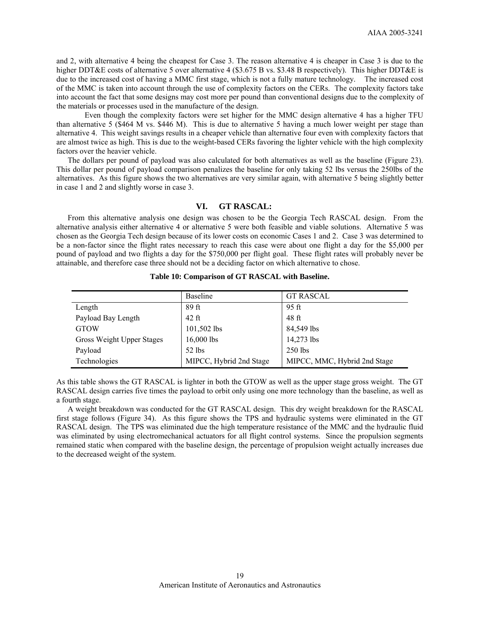and 2, with alternative 4 being the cheapest for Case 3. The reason alternative 4 is cheaper in Case 3 is due to the higher DDT&E costs of alternative 5 over alternative 4 (\$3.675 B vs. \$3.48 B respectively). This higher DDT&E is due to the increased cost of having a MMC first stage, which is not a fully mature technology. The increased cost of the MMC is taken into account through the use of complexity factors on the CERs. The complexity factors take into account the fact that some designs may cost more per pound than conventional designs due to the complexity of the materials or processes used in the manufacture of the design.

Even though the complexity factors were set higher for the MMC design alternative 4 has a higher TFU than alternative 5 (\$464 M vs. \$446 M). This is due to alternative 5 having a much lower weight per stage than alternative 4. This weight savings results in a cheaper vehicle than alternative four even with complexity factors that are almost twice as high. This is due to the weight-based CERs favoring the lighter vehicle with the high complexity factors over the heavier vehicle.

 The dollars per pound of payload was also calculated for both alternatives as well as the baseline (Figure 23). This dollar per pound of payload comparison penalizes the baseline for only taking 52 lbs versus the 250lbs of the alternatives. As this figure shows the two alternatives are very similar again, with alternative 5 being slightly better in case 1 and 2 and slightly worse in case 3.

# **VI. GT RASCAL:**

 From this alternative analysis one design was chosen to be the Georgia Tech RASCAL design. From the alternative analysis either alternative 4 or alternative 5 were both feasible and viable solutions. Alternative 5 was chosen as the Georgia Tech design because of its lower costs on economic Cases 1 and 2. Case 3 was determined to be a non-factor since the flight rates necessary to reach this case were about one flight a day for the \$5,000 per pound of payload and two flights a day for the \$750,000 per flight goal. These flight rates will probably never be attainable, and therefore case three should not be a deciding factor on which alternative to chose.

|                           | <b>Baseline</b>         | <b>GT RASCAL</b>             |
|---------------------------|-------------------------|------------------------------|
| Length                    | 89 ft                   | 95 ft                        |
| Payload Bay Length        | $42$ ft                 | 48 ft                        |
| <b>GTOW</b>               | 101,502 lbs             | 84,549 lbs                   |
| Gross Weight Upper Stages | $16,000$ lbs            | 14,273 lbs                   |
| Payload                   | $52$ lbs                | $250$ lbs                    |
| Technologies              | MIPCC, Hybrid 2nd Stage | MIPCC, MMC, Hybrid 2nd Stage |

### **Table 10: Comparison of GT RASCAL with Baseline.**

As this table shows the GT RASCAL is lighter in both the GTOW as well as the upper stage gross weight. The GT RASCAL design carries five times the payload to orbit only using one more technology than the baseline, as well as a fourth stage.

 A weight breakdown was conducted for the GT RASCAL design. This dry weight breakdown for the RASCAL first stage follows (Figure 34). As this figure shows the TPS and hydraulic systems were eliminated in the GT RASCAL design. The TPS was eliminated due the high temperature resistance of the MMC and the hydraulic fluid was eliminated by using electromechanical actuators for all flight control systems. Since the propulsion segments remained static when compared with the baseline design, the percentage of propulsion weight actually increases due to the decreased weight of the system.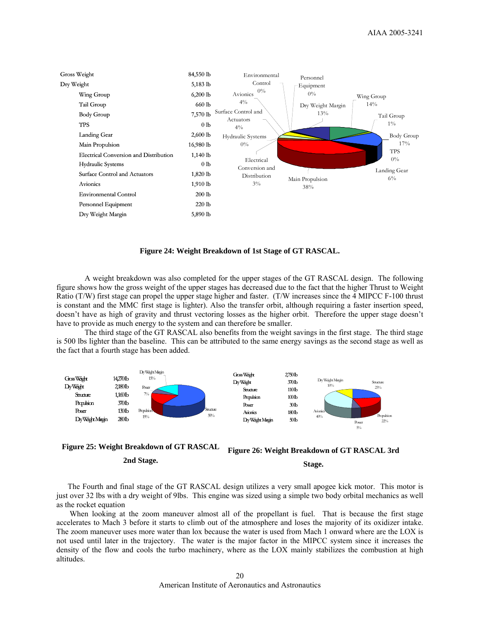

**Figure 24: Weight Breakdown of 1st Stage of GT RASCAL.** 

A weight breakdown was also completed for the upper stages of the GT RASCAL design. The following figure shows how the gross weight of the upper stages has decreased due to the fact that the higher Thrust to Weight Ratio (T/W) first stage can propel the upper stage higher and faster. (T/W increases since the 4 MIPCC F-100 thrust is constant and the MMC first stage is lighter). Also the transfer orbit, although requiring a faster insertion speed, doesn't have as high of gravity and thrust vectoring losses as the higher orbit. Therefore the upper stage doesn't have to provide as much energy to the system and can therefore be smaller.

The third stage of the GT RASCAL also benefits from the weight savings in the first stage. The third stage is 500 lbs lighter than the baseline. This can be attributed to the same energy savings as the second stage as well as the fact that a fourth stage has been added.





The Fourth and final stage of the GT RASCAL design utilizes a very small apogee kick motor. This motor is just over 32 lbs with a dry weight of 9lbs. This engine was sized using a simple two body orbital mechanics as well as the rocket equation

 When looking at the zoom maneuver almost all of the propellant is fuel. That is because the first stage accelerates to Mach 3 before it starts to climb out of the atmosphere and loses the majority of its oxidizer intake. The zoom maneuver uses more water than lox because the water is used from Mach 1 onward where are the LOX is not used until later in the trajectory. The water is the major factor in the MIPCC system since it increases the density of the flow and cools the turbo machinery, where as the LOX mainly stabilizes the combustion at high altitudes.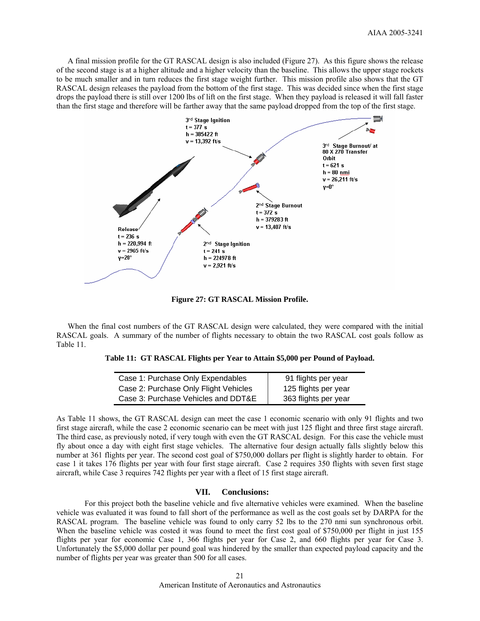A final mission profile for the GT RASCAL design is also included (Figure 27). As this figure shows the release of the second stage is at a higher altitude and a higher velocity than the baseline. This allows the upper stage rockets to be much smaller and in turn reduces the first stage weight further. This mission profile also shows that the GT RASCAL design releases the payload from the bottom of the first stage. This was decided since when the first stage drops the payload there is still over 1200 lbs of lift on the first stage. When they payload is released it will fall faster than the first stage and therefore will be farther away that the same payload dropped from the top of the first stage.



**Figure 27: GT RASCAL Mission Profile.** 

 When the final cost numbers of the GT RASCAL design were calculated, they were compared with the initial RASCAL goals. A summary of the number of flights necessary to obtain the two RASCAL cost goals follow as Table 11.

**Table 11: GT RASCAL Flights per Year to Attain \$5,000 per Pound of Payload.** 

| Case 1: Purchase Only Expendables     | 91 flights per year  |
|---------------------------------------|----------------------|
| Case 2: Purchase Only Flight Vehicles | 125 flights per year |
| Case 3: Purchase Vehicles and DDT&E   | 363 flights per year |

As Table 11 shows, the GT RASCAL design can meet the case 1 economic scenario with only 91 flights and two first stage aircraft, while the case 2 economic scenario can be meet with just 125 flight and three first stage aircraft. The third case, as previously noted, if very tough with even the GT RASCAL design. For this case the vehicle must fly about once a day with eight first stage vehicles. The alternative four design actually falls slightly below this number at 361 flights per year. The second cost goal of \$750,000 dollars per flight is slightly harder to obtain. For case 1 it takes 176 flights per year with four first stage aircraft. Case 2 requires 350 flights with seven first stage aircraft, while Case 3 requires 742 flights per year with a fleet of 15 first stage aircraft.

# **VII. Conclusions:**

For this project both the baseline vehicle and five alternative vehicles were examined. When the baseline vehicle was evaluated it was found to fall short of the performance as well as the cost goals set by DARPA for the RASCAL program. The baseline vehicle was found to only carry 52 lbs to the 270 nmi sun synchronous orbit. When the baseline vehicle was costed it was found to meet the first cost goal of \$750,000 per flight in just 155 flights per year for economic Case 1, 366 flights per year for Case 2, and 660 flights per year for Case 3. Unfortunately the \$5,000 dollar per pound goal was hindered by the smaller than expected payload capacity and the number of flights per year was greater than 500 for all cases.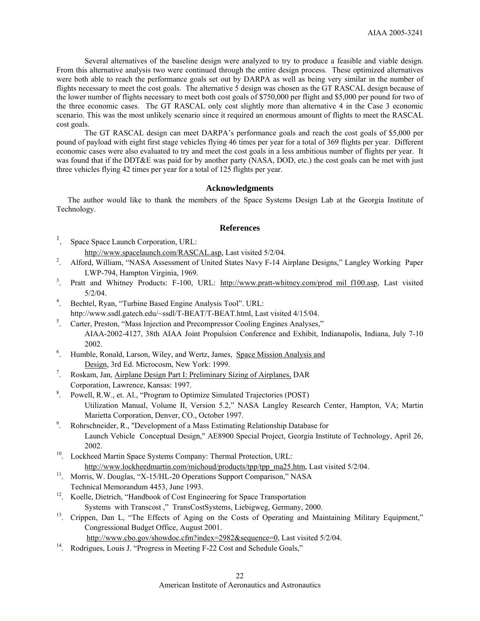Several alternatives of the baseline design were analyzed to try to produce a feasible and viable design. From this alternative analysis two were continued through the entire design process. These optimized alternatives were both able to reach the performance goals set out by DARPA as well as being very similar in the number of flights necessary to meet the cost goals. The alternative 5 design was chosen as the GT RASCAL design because of the lower number of flights necessary to meet both cost goals of \$750,000 per flight and \$5,000 per pound for two of the three economic cases. The GT RASCAL only cost slightly more than alternative 4 in the Case 3 economic scenario. This was the most unlikely scenario since it required an enormous amount of flights to meet the RASCAL cost goals.

The GT RASCAL design can meet DARPA's performance goals and reach the cost goals of \$5,000 per pound of payload with eight first stage vehicles flying 46 times per year for a total of 369 flights per year. Different economic cases were also evaluated to try and meet the cost goals in a less ambitious number of flights per year. It was found that if the DDT&E was paid for by another party (NASA, DOD, etc.) the cost goals can be met with just three vehicles flying 42 times per year for a total of 125 flights per year.

### **Acknowledgments**

The author would like to thank the members of the Space Systems Design Lab at the Georgia Institute of Technology.

## **References**

- 1 . Space Space Launch Corporation, URL: http://www.spacelaunch.com/RASCAL.asp, Last visited 5/2/04.<br>2. Alford William "NASA Assessment of United States Naw E 14. A
- . Alford, William, "NASA Assessment of United States Navy F-14 Airplane Designs," Langley Working Paper LWP-794, Hampton Virginia, 1969.<br><sup>3</sup>. Pratt and Whitney Products: F-100. I
- . Pratt and Whitney Products: F-100, URL: http://www.pratt-whitney.com/prod\_mil\_f100.asp, Last visited
- 5/2/04. 4 . Bechtel, Ryan, "Turbine Based Engine Analysis Tool". URL: http://www.ssdl.gatech.edu/~ssdl/T-BEAT/T-BEAT.html, Last visited 4/15/04.<br>
S Carter Preston "Mass Injection and Precompressor Cooling Engines Analyses"
- . Carter, Preston, "Mass Injection and Precompressor Cooling Engines Analyses," AIAA-2002-4127, 38th AIAA Joint Propulsion Conference and Exhibit, Indianapolis, Indiana, July 7-10
- 2002.<br>
<sup>6</sup>. Humble, Ronald, Larson, Wiley, and Wertz, James, Space Mission Analysis and Design, 3rd Ed. Microcosm, New York: 1999.
- . Roskam, Jan, Airplane Design Part I: Preliminary Sizing of Airplanes, DAR Corporation, Lawrence, Kansas: 1997.
- 8 . Powell, R.W., et. Al., "Program to Optimize Simulated Trajectories (POST) Utilization Manual, Volume II, Version 5.2," NASA Langley Research Center, Hampton, VA; Martin Marietta Corporation, Denver, CO., October 1997.<br>Bohrschneider, R. "Development of a Mass Estimating"
- . Rohrschneider, R., "Development of a Mass Estimating Relationship Database for Launch Vehicle Conceptual Design," AE8900 Special Project, Georgia Institute of Technology, April 26,
- 2002.<br><sup>10</sup>. Lockheed Martin Space Systems Company: Thermal Protection, URL: http://www.lockheedmartin.com/michoud/products/tpp/tpp\_ma25.htm, Last visited 5/2/04.<br><sup>11</sup>. Morris, W. Douglas, "X-15/HL-20 Operations Support Comparison," NASA
- Technical Memorandum 4453, June 1993.
- <sup>12</sup>. Koelle, Dietrich, "Handbook of Cost Engineering for Space Transportation
- Systems with Transcost ," TransCostSystems, Liebigweg, Germany, 2000.<br><sup>13</sup>. Crippen, Dan L, "The Effects of Aging on the Costs of Operating and Maintaining Military Equipment," Congressional Budget Office, August 2001.
- http://www.cbo.gov/showdoc.cfm?index=2982&sequence=0, Last visited 5/2/04.<br><sup>14</sup>. Rodrigues, Louis J. "Progress in Meeting F-22 Cost and Schedule Goals,"